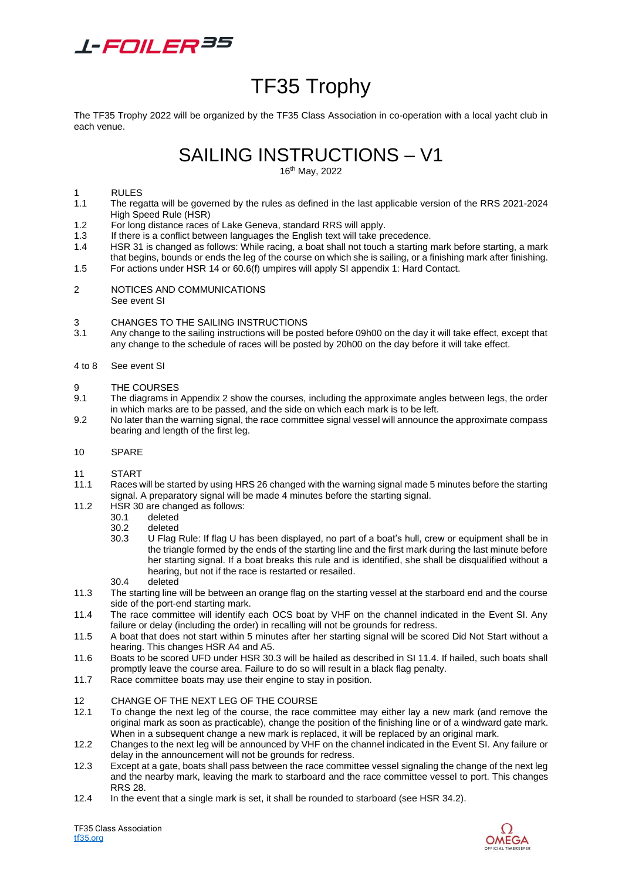

# TF35 Trophy

The TF35 Trophy 2022 will be organized by the TF35 Class Association in co-operation with a local yacht club in each venue.

SAILING INSTRUCTIONS – V1

16th May, 2022

### 1 RULES<br>1.1 The rec

- 1.1 The regatta will be governed by the rules as defined in the last applicable version of the RRS 2021-2024 High Speed Rule (HSR)
- 1.2 For long distance races of Lake Geneva, standard RRS will apply.
- 1.3 If there is a conflict between languages the English text will take precedence.
- 1.4 HSR 31 is changed as follows: While racing, a boat shall not touch a starting mark before starting, a mark that begins, bounds or ends the leg of the course on which she is sailing, or a finishing mark after finishing.
- 1.5 For actions under HSR 14 or 60.6(f) umpires will apply SI appendix 1: Hard Contact.
- 2 NOTICES AND COMMUNICATIONS See event SI

#### 3 CHANGES TO THE SAILING INSTRUCTIONS

3.1 Any change to the sailing instructions will be posted before 09h00 on the day it will take effect, except that any change to the schedule of races will be posted by 20h00 on the day before it will take effect.

#### 4 to 8 See event SI

- 9 THE COURSES
- 9.1 The diagrams in Appendix 2 show the courses, including the approximate angles between legs, the order in which marks are to be passed, and the side on which each mark is to be left.
- 9.2 No later than the warning signal, the race committee signal vessel will announce the approximate compass bearing and length of the first leg.
- 10 SPARE

## 11 START<br>11.1 Races

- Races will be started by using HRS 26 changed with the warning signal made 5 minutes before the starting signal. A preparatory signal will be made 4 minutes before the starting signal.
- 11.2 HSR 30 are changed as follows:
	- 30.1 deleted
	- 30.2 deleted
	- 30.3 U Flag Rule: If flag U has been displayed, no part of a boat's hull, crew or equipment shall be in the triangle formed by the ends of the starting line and the first mark during the last minute before her starting signal. If a boat breaks this rule and is identified, she shall be disqualified without a hearing, but not if the race is restarted or resailed.
	- 30.4 deleted
- 11.3 The starting line will be between an orange flag on the starting vessel at the starboard end and the course side of the port-end starting mark.
- 11.4 The race committee will identify each OCS boat by VHF on the channel indicated in the Event SI. Any failure or delay (including the order) in recalling will not be grounds for redress.
- 11.5 A boat that does not start within 5 minutes after her starting signal will be scored Did Not Start without a hearing. This changes HSR A4 and A5.
- 11.6 Boats to be scored UFD under HSR 30.3 will be hailed as described in SI 11.4. If hailed, such boats shall promptly leave the course area. Failure to do so will result in a black flag penalty.
- 11.7 Race committee boats may use their engine to stay in position.

#### 12 CHANGE OF THE NEXT LEG OF THE COURSE

- 12.1 To change the next leg of the course, the race committee may either lay a new mark (and remove the original mark as soon as practicable), change the position of the finishing line or of a windward gate mark. When in a subsequent change a new mark is replaced, it will be replaced by an original mark.
- 12.2 Changes to the next leg will be announced by VHF on the channel indicated in the Event SI. Any failure or delay in the announcement will not be grounds for redress.
- 12.3 Except at a gate, boats shall pass between the race committee vessel signaling the change of the next leg and the nearby mark, leaving the mark to starboard and the race committee vessel to port. This changes RRS 28.
- 12.4 In the event that a single mark is set, it shall be rounded to starboard (see HSR 34.2).

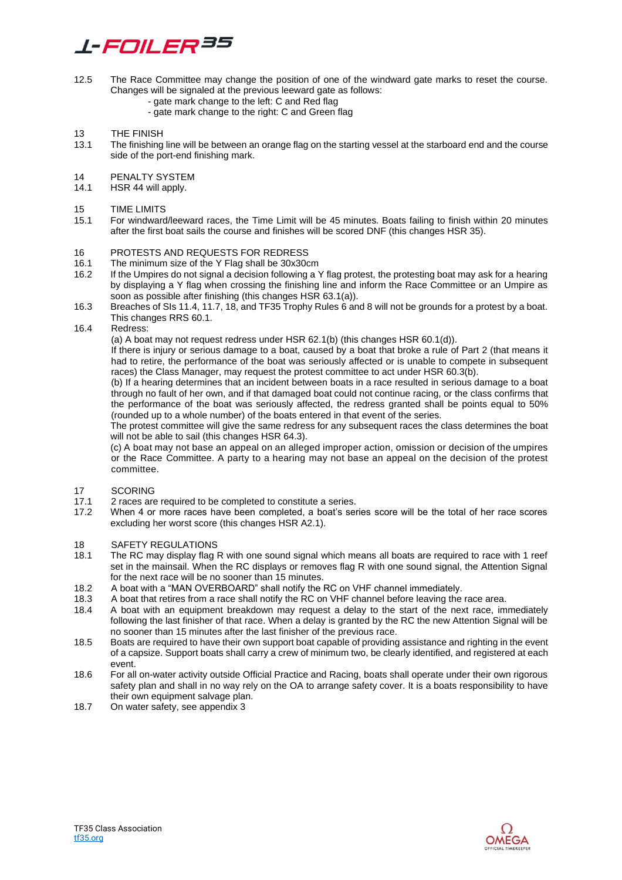# *L-FOILER35*

- 12.5 The Race Committee may change the position of one of the windward gate marks to reset the course. Changes will be signaled at the previous leeward gate as follows:
	- gate mark change to the left: C and Red flag
	- gate mark change to the right: C and Green flag
- 13 THE FINISH<br>13.1 The finishing
- The finishing line will be between an orange flag on the starting vessel at the starboard end and the course side of the port-end finishing mark.
- 14 PENALTY SYSTEM<br>14.1 HSR 44 will apply.
- HSR 44 will apply.

#### 15 TIME LIMITS

15.1 For windward/leeward races, the Time Limit will be 45 minutes. Boats failing to finish within 20 minutes after the first boat sails the course and finishes will be scored DNF (this changes HSR 35).

#### 16 PROTESTS AND REQUESTS FOR REDRESS

- 16.1 The minimum size of the Y Flag shall be 30x30cm
- 16.2 If the Umpires do not signal a decision following a Y flag protest, the protesting boat may ask for a hearing by displaying a Y flag when crossing the finishing line and inform the Race Committee or an Umpire as soon as possible after finishing (this changes HSR 63.1(a)).
- 16.3 Breaches of SIs 11.4, 11.7, 18, and TF35 Trophy Rules 6 and 8 will not be grounds for a protest by a boat. This changes RRS 60.1.

#### 16.4 Redress:

(a) A boat may not request redress under HSR 62.1(b) (this changes HSR 60.1(d)).

If there is injury or serious damage to a boat, caused by a boat that broke a rule of Part 2 (that means it had to retire, the performance of the boat was seriously affected or is unable to compete in subsequent races) the Class Manager, may request the protest committee to act under HSR 60.3(b).

(b) If a hearing determines that an incident between boats in a race resulted in serious damage to a boat through no fault of her own, and if that damaged boat could not continue racing, or the class confirms that the performance of the boat was seriously affected, the redress granted shall be points equal to 50% (rounded up to a whole number) of the boats entered in that event of the series.

The protest committee will give the same redress for any subsequent races the class determines the boat will not be able to sail (this changes HSR 64.3).

(c) A boat may not base an appeal on an alleged improper action, omission or decision of the umpires or the Race Committee. A party to a hearing may not base an appeal on the decision of the protest committee.

### 17 SCORING

- 17.1 2 races are required to be completed to constitute a series.
- 17.2 When 4 or more races have been completed, a boat's series score will be the total of her race scores excluding her worst score (this changes HSR A2.1).

# 18 SAFETY REGULATIONS<br>18.1 The RC may display flag I

- The RC may display flag R with one sound signal which means all boats are required to race with 1 reef set in the mainsail. When the RC displays or removes flag R with one sound signal, the Attention Signal for the next race will be no sooner than 15 minutes.
- 18.2 A boat with a "MAN OVERBOARD" shall notify the RC on VHF channel immediately.<br>18.3 A boat that retires from a race shall notify the RC on VHF channel before leaving the
- 18.3 A boat that retires from a race shall notify the RC on VHF channel before leaving the race area.
- 18.4 A boat with an equipment breakdown may request a delay to the start of the next race, immediately following the last finisher of that race. When a delay is granted by the RC the new Attention Signal will be no sooner than 15 minutes after the last finisher of the previous race.
- 18.5 Boats are required to have their own support boat capable of providing assistance and righting in the event of a capsize. Support boats shall carry a crew of minimum two, be clearly identified, and registered at each event.
- 18.6 For all on-water activity outside Official Practice and Racing, boats shall operate under their own rigorous safety plan and shall in no way rely on the OA to arrange safety cover. It is a boats responsibility to have their own equipment salvage plan.
- 18.7 On water safety, see appendix 3

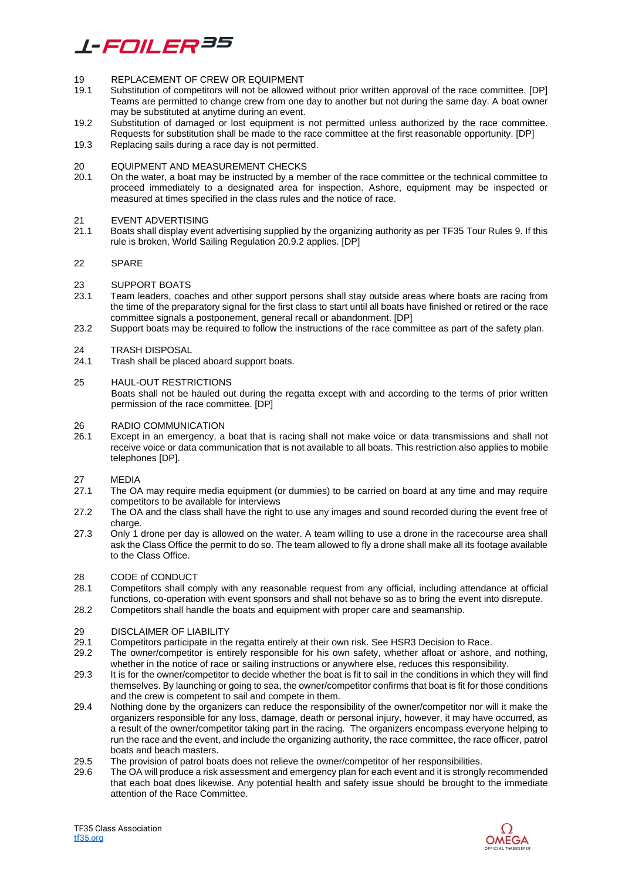# *L-FOILER35*

#### 19 REPLACEMENT OF CREW OR EQUIPMENT

- 19.1 Substitution of competitors will not be allowed without prior written approval of the race committee. [DP] Teams are permitted to change crew from one day to another but not during the same day. A boat owner may be substituted at anytime during an event.
- 19.2 Substitution of damaged or lost equipment is not permitted unless authorized by the race committee. Requests for substitution shall be made to the race committee at the first reasonable opportunity. [DP]
- 19.3 Replacing sails during a race day is not permitted.

## 20 EQUIPMENT AND MEASUREMENT CHECKS<br>20.1 On the water, a boat may be instructed by a me

20.1 On the water, a boat may be instructed by a member of the race committee or the technical committee to proceed immediately to a designated area for inspection. Ashore, equipment may be inspected or measured at times specified in the class rules and the notice of race.

#### 21 EVENT ADVERTISING

21.1 Boats shall display event advertising supplied by the organizing authority as per TF35 Tour Rules 9. If this rule is broken, World Sailing Regulation 20.9.2 applies. [DP]

#### 22 SPARE

#### 23 SUPPORT BOATS

- 23.1 Team leaders, coaches and other support persons shall stay outside areas where boats are racing from the time of the preparatory signal for the first class to start until all boats have finished or retired or the race committee signals a postponement, general recall or abandonment. [DP]
- 23.2 Support boats may be required to follow the instructions of the race committee as part of the safety plan.

24 TRASH DISPOSAL<br>24.1 Trash shall be place Trash shall be placed aboard support boats.

#### 25 HAUL-OUT RESTRICTIONS

Boats shall not be hauled out during the regatta except with and according to the terms of prior written permission of the race committee. [DP]

#### 26 RADIO COMMUNICATION

26.1 Except in an emergency, a boat that is racing shall not make voice or data transmissions and shall not receive voice or data communication that is not available to all boats. This restriction also applies to mobile telephones [DP].

### $27$  MEDIA<br> $271$  The OA

- The OA may require media equipment (or dummies) to be carried on board at any time and may require competitors to be available for interviews
- 27.2 The OA and the class shall have the right to use any images and sound recorded during the event free of charge.
- 27.3 Only 1 drone per day is allowed on the water. A team willing to use a drone in the racecourse area shall ask the Class Office the permit to do so. The team allowed to fly a drone shall make all its footage available to the Class Office.

#### 28 CODE of CONDUCT

- 28.1 Competitors shall comply with any reasonable request from any official, including attendance at official functions, co-operation with event sponsors and shall not behave so as to bring the event into disrepute.
- 28.2 Competitors shall handle the boats and equipment with proper care and seamanship.

#### 29 DISCLAIMER OF LIABILITY

- 29.1 Competitors participate in the regatta entirely at their own risk. See HSR3 Decision to Race.
- 29.2 The owner/competitor is entirely responsible for his own safety, whether afloat or ashore, and nothing, whether in the notice of race or sailing instructions or anywhere else, reduces this responsibility.
- 29.3 It is for the owner/competitor to decide whether the boat is fit to sail in the conditions in which they will find themselves. By launching or going to sea, the owner/competitor confirms that boat is fit for those conditions and the crew is competent to sail and compete in them.
- 29.4 Nothing done by the organizers can reduce the responsibility of the owner/competitor nor will it make the organizers responsible for any loss, damage, death or personal injury, however, it may have occurred, as a result of the owner/competitor taking part in the racing. The organizers encompass everyone helping to run the race and the event, and include the organizing authority, the race committee, the race officer, patrol boats and beach masters.
- 29.5 The provision of patrol boats does not relieve the owner/competitor of her responsibilities.
- 29.6 The OA will produce a risk assessment and emergency plan for each event and it is strongly recommended that each boat does likewise. Any potential health and safety issue should be brought to the immediate attention of the Race Committee.

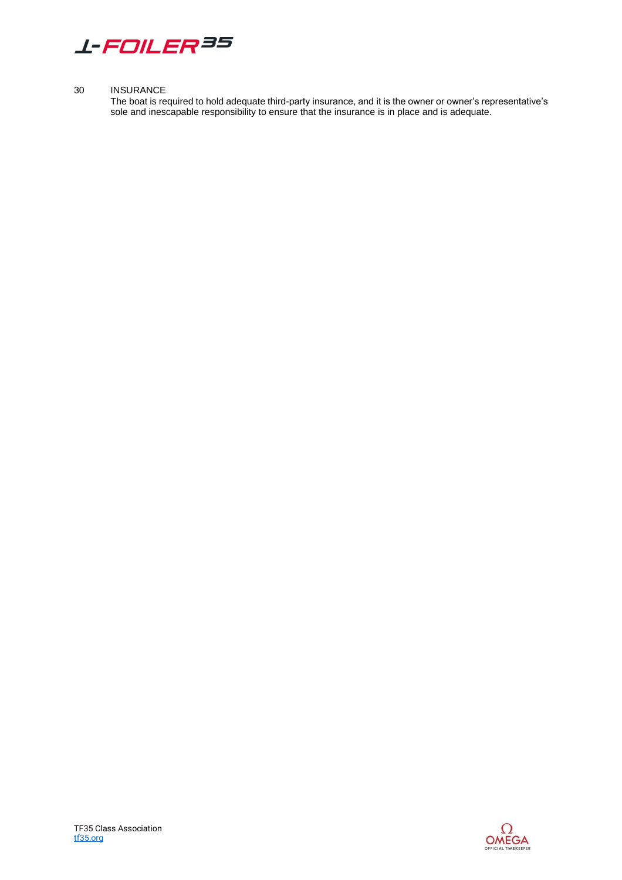

#### 30 INSURANCE

The boat is required to hold adequate third-party insurance, and it is the owner or owner's representative's sole and inescapable responsibility to ensure that the insurance is in place and is adequate.

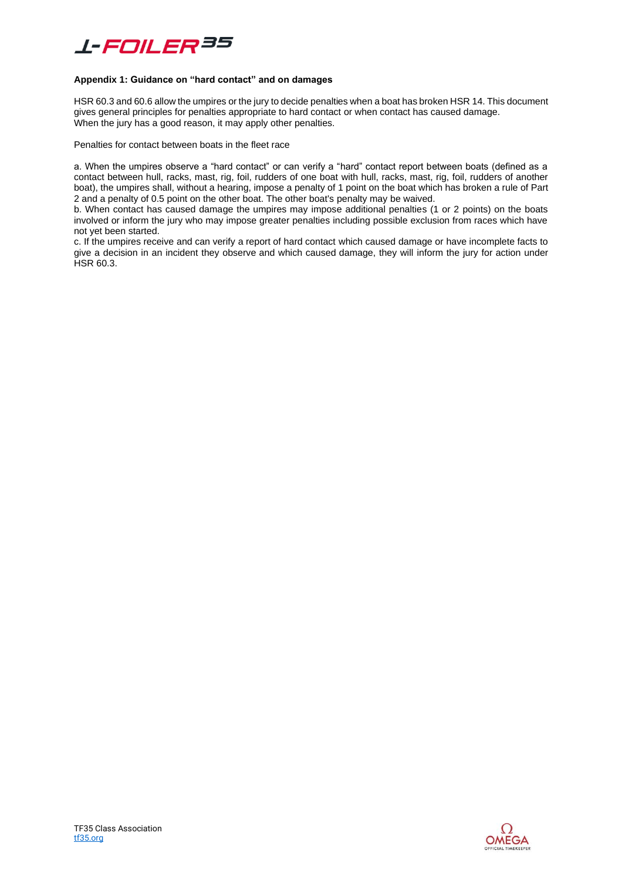# *L-FOILER35*

#### **Appendix 1: Guidance on "hard contact" and on damages**

HSR 60.3 and 60.6 allow the umpires or the jury to decide penalties when a boat has broken HSR 14. This document gives general principles for penalties appropriate to hard contact or when contact has caused damage. When the jury has a good reason, it may apply other penalties.

Penalties for contact between boats in the fleet race

a. When the umpires observe a "hard contact" or can verify a "hard" contact report between boats (defined as a contact between hull, racks, mast, rig, foil, rudders of one boat with hull, racks, mast, rig, foil, rudders of another boat), the umpires shall, without a hearing, impose a penalty of 1 point on the boat which has broken a rule of Part 2 and a penalty of 0.5 point on the other boat. The other boat's penalty may be waived.

b. When contact has caused damage the umpires may impose additional penalties (1 or 2 points) on the boats involved or inform the jury who may impose greater penalties including possible exclusion from races which have not yet been started.

c. If the umpires receive and can verify a report of hard contact which caused damage or have incomplete facts to give a decision in an incident they observe and which caused damage, they will inform the jury for action under HSR 60.3.

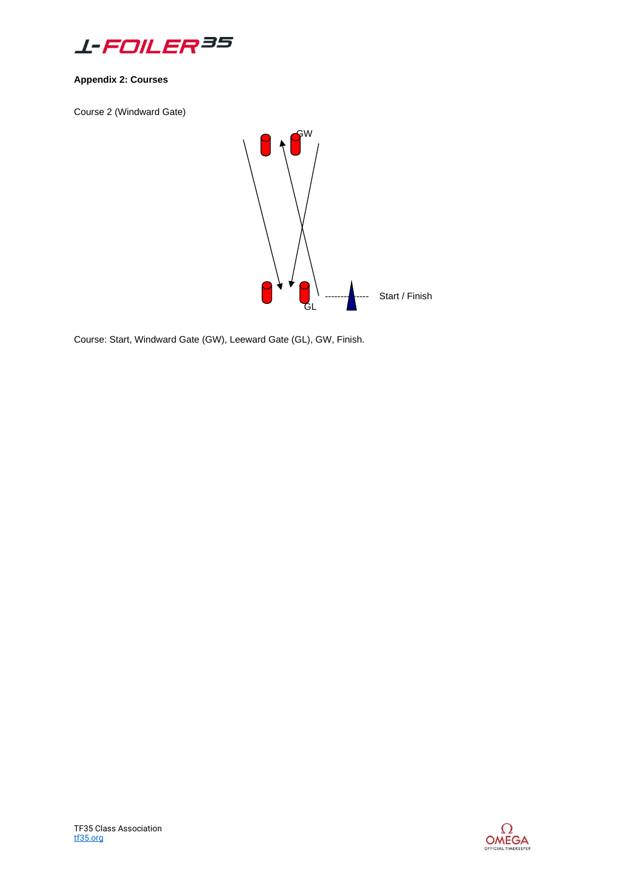

### **Appendix 2: Courses**

Course 2 (Windward Gate)



Course: Start, Windward Gate (GW), Leeward Gate (GL), GW, Finish.